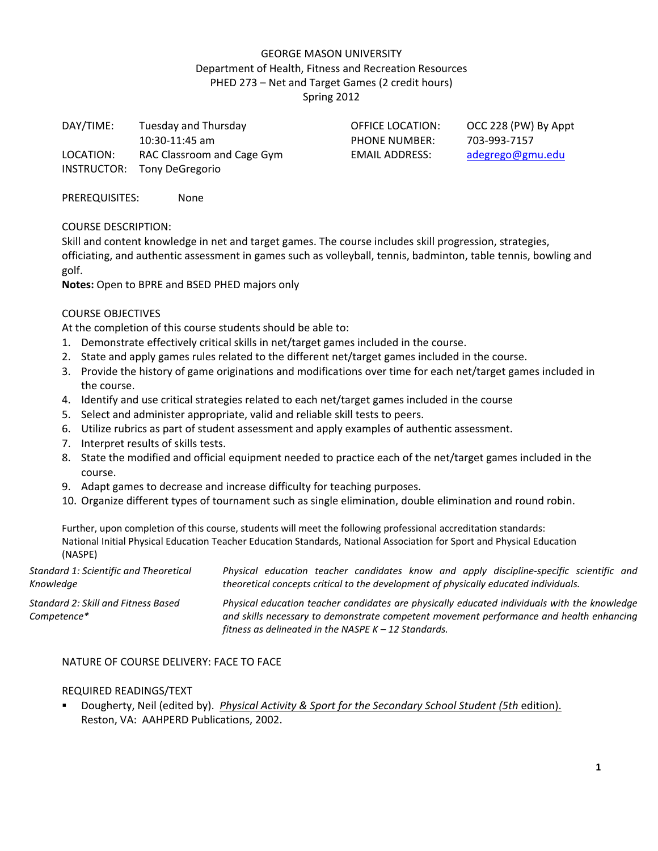## GEORGE MASON UNIVERSITY Department of Health, Fitness and Recreation Resources PHED 273 – Net and Target Games (2 credit hours) Spring 2012

| DAY/TIME: | <b>Tuesday and Thursday</b>        |  |  |  |  |  |
|-----------|------------------------------------|--|--|--|--|--|
|           | $10:30-11:45$ am                   |  |  |  |  |  |
| LOCATION: | RAC Classroom and Cage Gym         |  |  |  |  |  |
|           | <b>INSTRUCTOR: Tony DeGregorio</b> |  |  |  |  |  |

PHONE NUMBER: 703‐993‐7157

OFFICE LOCATION: OCC 228 (PW) By Appt EMAIL ADDRESS: adegrego@gmu.edu

PREREQUISITES: None

### COURSE DESCRIPTION:

Skill and content knowledge in net and target games. The course includes skill progression, strategies, officiating, and authentic assessment in games such as volleyball, tennis, badminton, table tennis, bowling and golf.

**Notes:** Open to BPRE and BSED PHED majors only

## COURSE OBJECTIVES

At the completion of this course students should be able to:

- 1. Demonstrate effectively critical skills in net/target games included in the course.
- 2. State and apply games rules related to the different net/target games included in the course.
- 3. Provide the history of game originations and modifications over time for each net/target games included in the course.
- 4. Identify and use critical strategies related to each net/target games included in the course
- 5. Select and administer appropriate, valid and reliable skill tests to peers.
- 6. Utilize rubrics as part of student assessment and apply examples of authentic assessment.
- 7. Interpret results of skills tests.
- 8. State the modified and official equipment needed to practice each of the net/target games included in the course.
- 9. Adapt games to decrease and increase difficulty for teaching purposes.
- 10. Organize different types of tournament such as single elimination, double elimination and round robin.

Further, upon completion of this course, students will meet the following professional accreditation standards: National Initial Physical Education Teacher Education Standards, National Association for Sport and Physical Education (NASPE)

| Standard 1: Scientific and Theoretical             | Physical education teacher candidates know and apply discipline-specific scientific and                                                                                                                                                           |
|----------------------------------------------------|---------------------------------------------------------------------------------------------------------------------------------------------------------------------------------------------------------------------------------------------------|
| Knowledge                                          | theoretical concepts critical to the development of physically educated individuals.                                                                                                                                                              |
| Standard 2: Skill and Fitness Based<br>Competence* | Physical education teacher candidates are physically educated individuals with the knowledge<br>and skills necessary to demonstrate competent movement performance and health enhancing<br>fitness as delineated in the NASPE $K - 12$ Standards. |

### NATURE OF COURSE DELIVERY: FACE TO FACE

### REQUIRED READINGS/TEXT

 Dougherty, Neil (edited by). *Physical Activity & Sport for the Secondary School Student (5th* edition). Reston, VA: AAHPERD Publications, 2002.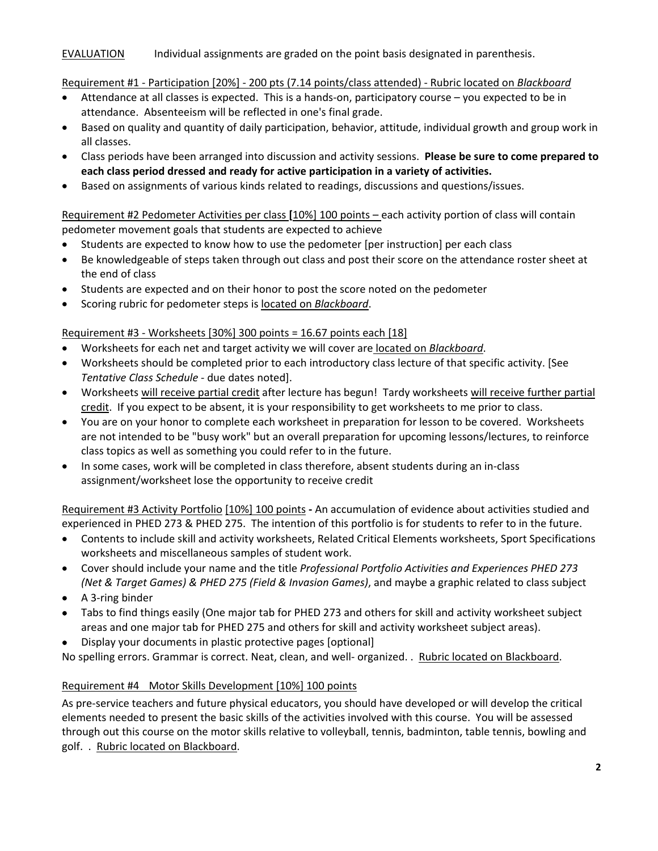## EVALUATION Individual assignments are graded on the point basis designated in parenthesis.

Requirement #1 ‐ Participation [20%] ‐ 200 pts (7.14 points/class attended) ‐ Rubric located on *Blackboard*

- Attendance at all classes is expected. This is a hands-on, participatory course you expected to be in attendance. Absenteeism will be reflected in one's final grade.
- Based on quality and quantity of daily participation, behavior, attitude, individual growth and group work in all classes.
- Class periods have been arranged into discussion and activity sessions. **Please be sure to come prepared to each class period dressed and ready for active participation in a variety of activities.**
- Based on assignments of various kinds related to readings, discussions and questions/issues.

Requirement #2 Pedometer Activities per class **[**10%] 100 points – each activity portion of class will contain pedometer movement goals that students are expected to achieve

- Students are expected to know how to use the pedometer [per instruction] per each class
- Be knowledgeable of steps taken through out class and post their score on the attendance roster sheet at the end of class
- Students are expected and on their honor to post the score noted on the pedometer
- Scoring rubric for pedometer steps is located on *Blackboard*.

# Requirement #3 ‐ Worksheets [30%] 300 points = 16.67 points each [18]

- Worksheets for each net and target activity we will cover are located on *Blackboard*.
- Worksheets should be completed prior to each introductory class lecture of that specific activity. [See *Tentative Class Schedule* ‐ due dates noted].
- Worksheets will receive partial credit after lecture has begun! Tardy worksheets will receive further partial credit. If you expect to be absent, it is your responsibility to get worksheets to me prior to class.
- You are on your honor to complete each worksheet in preparation for lesson to be covered. Worksheets are not intended to be "busy work" but an overall preparation for upcoming lessons/lectures, to reinforce class topics as well as something you could refer to in the future.
- In some cases, work will be completed in class therefore, absent students during an in-class assignment/worksheet lose the opportunity to receive credit

Requirement #3 Activity Portfolio [10%] 100 points **‐** An accumulation of evidence about activities studied and experienced in PHED 273 & PHED 275. The intention of this portfolio is for students to refer to in the future.

- Contents to include skill and activity worksheets, Related Critical Elements worksheets, Sport Specifications worksheets and miscellaneous samples of student work.
- Cover should include your name and the title *Professional Portfolio Activities and Experiences PHED 273 (Net & Target Games) & PHED 275 (Field & Invasion Games)*, and maybe a graphic related to class subject
- A 3-ring binder
- Tabs to find things easily (One major tab for PHED 273 and others for skill and activity worksheet subject areas and one major tab for PHED 275 and others for skill and activity worksheet subject areas).
- Display your documents in plastic protective pages [optional]

No spelling errors. Grammar is correct. Neat, clean, and well‐ organized. . Rubric located on Blackboard.

# Requirement #4 Motor Skills Development [10%] 100 points

As pre‐service teachers and future physical educators, you should have developed or will develop the critical elements needed to present the basic skills of the activities involved with this course. You will be assessed through out this course on the motor skills relative to volleyball, tennis, badminton, table tennis, bowling and golf. . Rubric located on Blackboard.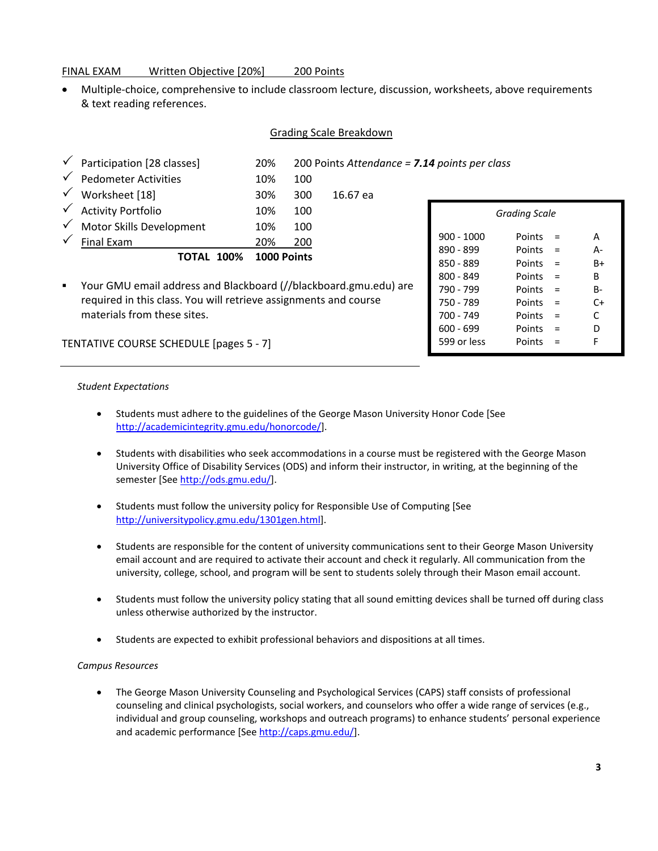### FINAL EXAM Written Objective [20%] 200 Points

● Multiple-choice, comprehensive to include classroom lecture, discussion, worksheets, above requirements & text reading references.

#### Grading Scale Breakdown

| $\checkmark$   | Participation [28 classes]                                       | 20%         |     | 200 Points Attendance = 7.14 points per class |              |                      |           |
|----------------|------------------------------------------------------------------|-------------|-----|-----------------------------------------------|--------------|----------------------|-----------|
| $\checkmark$   | <b>Pedometer Activities</b>                                      | 10%         | 100 |                                               |              |                      |           |
| $\checkmark$   | Worksheet [18]                                                   | 30%         | 300 | 16.67 ea                                      |              |                      |           |
| $\checkmark$   | <b>Activity Portfolio</b>                                        | 10%         | 100 |                                               |              | <b>Grading Scale</b> |           |
| $\checkmark$   | Motor Skills Development                                         | 10%         | 100 |                                               |              |                      |           |
|                | Final Exam                                                       | 20%         | 200 |                                               | $900 - 1000$ | Points $=$           | A         |
|                | 100%<br>TOTAL                                                    | 1000 Points |     |                                               | 890 - 899    | Points $=$           | A-        |
|                |                                                                  |             |     |                                               | 850 - 889    | Points $=$           | $B+$      |
|                |                                                                  |             |     |                                               | $800 - 849$  | Points $=$           | B         |
| $\blacksquare$ | Your GMU email address and Blackboard (//blackboard.gmu.edu) are |             |     |                                               | 790 - 799    | Points $=$           | <b>B-</b> |

 Your GMU email address and Blackboard (//blackboard.gmu.edu) are required in this class. You will retrieve assignments and course materials from these sites.

#### TENTATIVE COURSE SCHEDULE [pages 5 ‐ 7]

#### *Student Expectations*

- Students must adhere to the guidelines of the George Mason University Honor Code [See http://academicintegrity.gmu.edu/honorcode/].
- Students with disabilities who seek accommodations in a course must be registered with the George Mason University Office of Disability Services (ODS) and inform their instructor, in writing, at the beginning of the semester [See http://ods.gmu.edu/].
- Students must follow the university policy for Responsible Use of Computing [See http://universitypolicy.gmu.edu/1301gen.html].
- Students are responsible for the content of university communications sent to their George Mason University email account and are required to activate their account and check it regularly. All communication from the university, college, school, and program will be sent to students solely through their Mason email account.
- Students must follow the university policy stating that all sound emitting devices shall be turned off during class unless otherwise authorized by the instructor.
- Students are expected to exhibit professional behaviors and dispositions at all times.

#### *Campus Resources*

 The George Mason University Counseling and Psychological Services (CAPS) staff consists of professional counseling and clinical psychologists, social workers, and counselors who offer a wide range of services (e.g., individual and group counseling, workshops and outreach programs) to enhance students' personal experience and academic performance [See http://caps.gmu.edu/].

 ‐ 789 Points = C+ ‐ 749 Points = C ‐ 699 Points = D 599 or less Points = F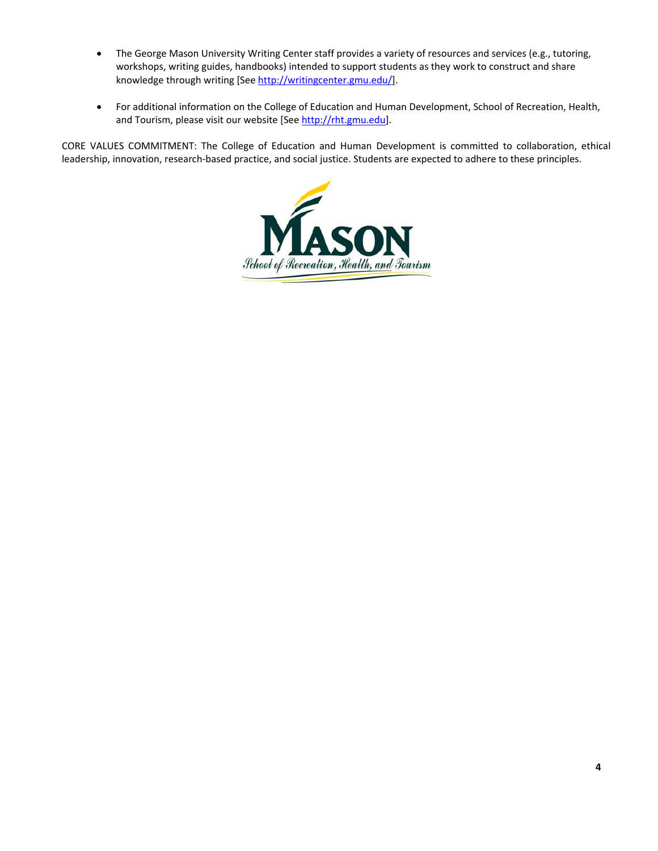- The George Mason University Writing Center staff provides a variety of resources and services (e.g., tutoring, workshops, writing guides, handbooks) intended to support students as they work to construct and share knowledge through writing [See http://writingcenter.gmu.edu/].
- For additional information on the College of Education and Human Development, School of Recreation, Health, and Tourism, please visit our website [See http://rht.gmu.edu].

CORE VALUES COMMITMENT: The College of Education and Human Development is committed to collaboration, ethical leadership, innovation, research‐based practice, and social justice. Students are expected to adhere to these principles.

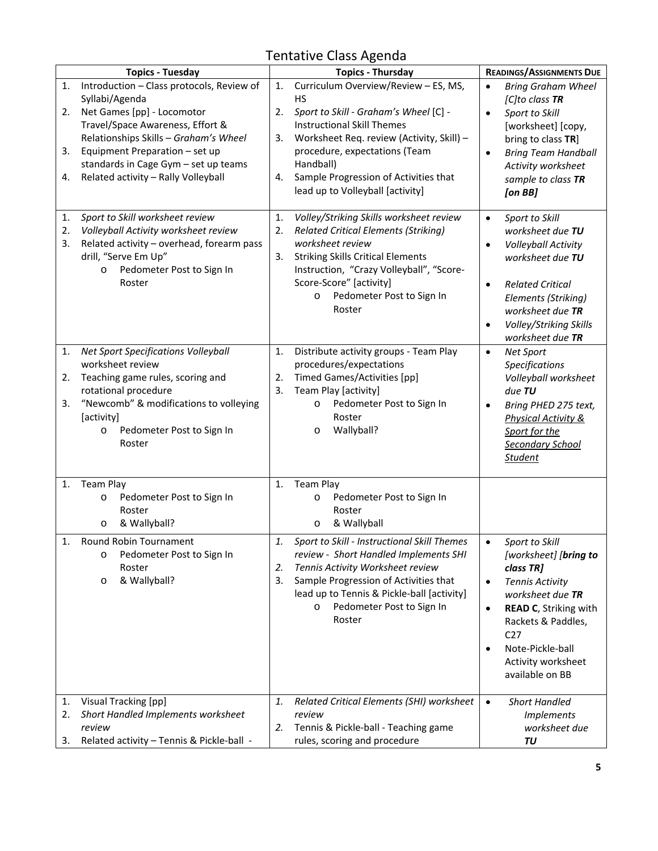# Tentative Class Agenda

|                      | <b>Topics - Tuesday</b>                                                                                                                                                                                                                                                                 |                      | <b>Topics - Thursday</b>                                                                                                                                                                                                                                                                                | <b>READINGS/ASSIGNMENTS DUE</b>                  |                                                                                                                                                                                                                                   |  |
|----------------------|-----------------------------------------------------------------------------------------------------------------------------------------------------------------------------------------------------------------------------------------------------------------------------------------|----------------------|---------------------------------------------------------------------------------------------------------------------------------------------------------------------------------------------------------------------------------------------------------------------------------------------------------|--------------------------------------------------|-----------------------------------------------------------------------------------------------------------------------------------------------------------------------------------------------------------------------------------|--|
| 1.<br>2.<br>3.<br>4. | Introduction - Class protocols, Review of<br>Syllabi/Agenda<br>Net Games [pp] - Locomotor<br>Travel/Space Awareness, Effort &<br>Relationships Skills - Graham's Wheel<br>Equipment Preparation - set up<br>standards in Cage Gym - set up teams<br>Related activity - Rally Volleyball | 1.<br>2.<br>3.<br>4. | Curriculum Overview/Review - ES, MS,<br><b>HS</b><br>Sport to Skill - Graham's Wheel [C] -<br><b>Instructional Skill Themes</b><br>Worksheet Req. review (Activity, Skill) -<br>procedure, expectations (Team<br>Handball)<br>Sample Progression of Activities that<br>lead up to Volleyball [activity] | $\bullet$<br>$\bullet$<br>$\bullet$              | <b>Bring Graham Wheel</b><br>$[C]$ to class TR<br>Sport to Skill<br>[worksheet] [copy,<br>bring to class TR]<br><b>Bring Team Handball</b><br>Activity worksheet<br>sample to class TR<br>[on BB]                                 |  |
| 1.<br>2.<br>3.       | Sport to Skill worksheet review<br>Volleyball Activity worksheet review<br>Related activity - overhead, forearm pass<br>drill, "Serve Em Up"<br>Pedometer Post to Sign In<br>$\circ$<br>Roster                                                                                          | 1.<br>2.<br>3.       | Volley/Striking Skills worksheet review<br><b>Related Critical Elements (Striking)</b><br>worksheet review<br><b>Striking Skills Critical Elements</b><br>Instruction, "Crazy Volleyball", "Score-<br>Score-Score" [activity]<br>Pedometer Post to Sign In<br>$\circ$<br>Roster                         | $\bullet$<br>$\bullet$<br>$\bullet$<br>$\bullet$ | Sport to Skill<br>worksheet due TU<br><b>Volleyball Activity</b><br>worksheet due TU<br><b>Related Critical</b><br>Elements (Striking)<br>worksheet due TR<br>Volley/Striking Skills<br>worksheet due TR                          |  |
| 1.<br>2.<br>3.       | Net Sport Specifications Volleyball<br>worksheet review<br>Teaching game rules, scoring and<br>rotational procedure<br>"Newcomb" & modifications to volleying<br>[activity]<br>Pedometer Post to Sign In<br>$\circ$<br>Roster                                                           | 1.<br>2.<br>3.       | Distribute activity groups - Team Play<br>procedures/expectations<br>Timed Games/Activities [pp]<br>Team Play [activity]<br>Pedometer Post to Sign In<br>$\circ$<br>Roster<br>Wallyball?<br>$\circ$                                                                                                     | $\bullet$<br>$\bullet$                           | Net Sport<br>Specifications<br>Volleyball worksheet<br>due TU<br>Bring PHED 275 text,<br><b>Physical Activity &amp;</b><br>Sport for the<br>Secondary School<br><b>Student</b>                                                    |  |
| 1.                   | <b>Team Play</b><br>Pedometer Post to Sign In<br>$\circ$<br>Roster<br>& Wallyball?<br>$\circ$                                                                                                                                                                                           | 1.                   | Team Play<br>Pedometer Post to Sign In<br>$\circ$<br>Roster<br>& Wallyball<br>O                                                                                                                                                                                                                         |                                                  |                                                                                                                                                                                                                                   |  |
| 1.                   | Round Robin Tournament<br>Pedometer Post to Sign In<br>O<br>Roster<br>& Wallyball?<br>$\circ$                                                                                                                                                                                           | 1.<br>2.<br>3.       | Sport to Skill - Instructional Skill Themes<br>review - Short Handled Implements SHI<br>Tennis Activity Worksheet review<br>Sample Progression of Activities that<br>lead up to Tennis & Pickle-ball [activity]<br>Pedometer Post to Sign In<br>$\circ$<br>Roster                                       | $\bullet$<br>$\bullet$<br>$\bullet$<br>$\bullet$ | Sport to Skill<br>[worksheet] [bring to<br>class TR]<br>Tennis Activity<br>worksheet due TR<br><b>READ C, Striking with</b><br>Rackets & Paddles,<br>C <sub>27</sub><br>Note-Pickle-ball<br>Activity worksheet<br>available on BB |  |
| 1.<br>2.<br>3.       | Visual Tracking [pp]<br>Short Handled Implements worksheet<br>review<br>Related activity - Tennis & Pickle-ball -                                                                                                                                                                       | 1.<br>2.             | Related Critical Elements (SHI) worksheet<br>review<br>Tennis & Pickle-ball - Teaching game<br>rules, scoring and procedure                                                                                                                                                                             | $\bullet$                                        | <b>Short Handled</b><br><b>Implements</b><br>worksheet due<br>TU                                                                                                                                                                  |  |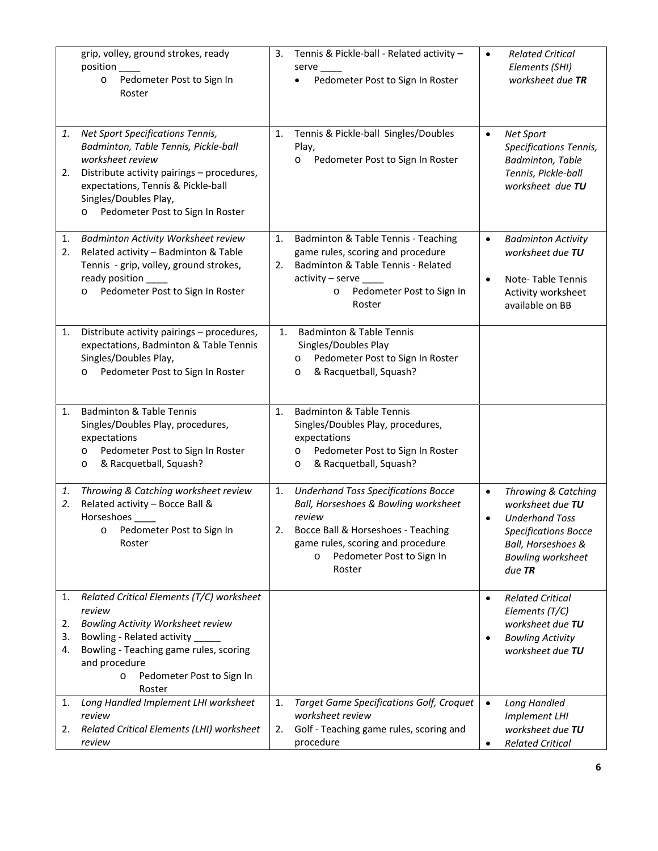|                      | grip, volley, ground strokes, ready<br>position ____<br>Pedometer Post to Sign In<br>$\circ$<br>Roster                                                                                                                                             | 3.       | Tennis & Pickle-ball - Related activity -<br>serve _____<br>Pedometer Post to Sign In Roster                                                                                                                              | $\bullet$              | <b>Related Critical</b><br>Elements (SHI)<br>worksheet due TR                                                                                               |
|----------------------|----------------------------------------------------------------------------------------------------------------------------------------------------------------------------------------------------------------------------------------------------|----------|---------------------------------------------------------------------------------------------------------------------------------------------------------------------------------------------------------------------------|------------------------|-------------------------------------------------------------------------------------------------------------------------------------------------------------|
| 1.<br>2.             | Net Sport Specifications Tennis,<br>Badminton, Table Tennis, Pickle-ball<br>worksheet review<br>Distribute activity pairings - procedures,<br>expectations, Tennis & Pickle-ball<br>Singles/Doubles Play,<br>Pedometer Post to Sign In Roster<br>O | 1.       | Tennis & Pickle-ball Singles/Doubles<br>Play,<br>Pedometer Post to Sign In Roster<br>$\circ$                                                                                                                              | $\bullet$              | Net Sport<br>Specifications Tennis,<br><b>Badminton, Table</b><br>Tennis, Pickle-ball<br>worksheet due TU                                                   |
| 1.<br>2.             | <b>Badminton Activity Worksheet review</b><br>Related activity - Badminton & Table<br>Tennis - grip, volley, ground strokes,<br>ready position _<br>Pedometer Post to Sign In Roster<br>O                                                          | 1.<br>2. | Badminton & Table Tennis - Teaching<br>game rules, scoring and procedure<br>Badminton & Table Tennis - Related<br>$active - serve$<br>Pedometer Post to Sign In<br>$\circ$<br>Roster                                      | $\bullet$<br>$\bullet$ | <b>Badminton Activity</b><br>worksheet due TU<br>Note-Table Tennis<br>Activity worksheet<br>available on BB                                                 |
| 1.                   | Distribute activity pairings - procedures,<br>expectations, Badminton & Table Tennis<br>Singles/Doubles Play,<br>Pedometer Post to Sign In Roster<br>O                                                                                             | 1.       | <b>Badminton &amp; Table Tennis</b><br>Singles/Doubles Play<br>Pedometer Post to Sign In Roster<br>$\circ$<br>& Racquetball, Squash?<br>O                                                                                 |                        |                                                                                                                                                             |
| 1.                   | <b>Badminton &amp; Table Tennis</b><br>Singles/Doubles Play, procedures,<br>expectations<br>Pedometer Post to Sign In Roster<br>O<br>& Racquetball, Squash?<br>O                                                                                   | 1.       | <b>Badminton &amp; Table Tennis</b><br>Singles/Doubles Play, procedures,<br>expectations<br>Pedometer Post to Sign In Roster<br>O<br>& Racquetball, Squash?<br>O                                                          |                        |                                                                                                                                                             |
| 1.<br>2.             | Throwing & Catching worksheet review<br>Related activity - Bocce Ball &<br>Horseshoes _____<br>Pedometer Post to Sign In<br>$\circ$<br>Roster                                                                                                      | 1.<br>2. | <b>Underhand Toss Specifications Bocce</b><br>Ball, Horseshoes & Bowling worksheet<br>review<br>Bocce Ball & Horseshoes - Teaching<br>game rules, scoring and procedure<br>Pedometer Post to Sign In<br>$\circ$<br>Roster | $\bullet$<br>$\bullet$ | Throwing & Catching<br>worksheet due TU<br><b>Underhand Toss</b><br><b>Specifications Bocce</b><br>Ball, Horseshoes &<br><b>Bowling worksheet</b><br>due TR |
| 1.<br>2.<br>3.<br>4. | Related Critical Elements (T/C) worksheet<br>review<br><b>Bowling Activity Worksheet review</b><br>Bowling - Related activity<br>Bowling - Teaching game rules, scoring<br>and procedure<br>Pedometer Post to Sign In<br>O<br>Roster               |          |                                                                                                                                                                                                                           | $\bullet$<br>$\bullet$ | <b>Related Critical</b><br>Elements (T/C)<br>worksheet due TU<br><b>Bowling Activity</b><br>worksheet due TU                                                |
| 1.<br>2.             | Long Handled Implement LHI worksheet<br>review<br>Related Critical Elements (LHI) worksheet<br>review                                                                                                                                              | 1.<br>2. | <b>Target Game Specifications Golf, Croquet</b><br>worksheet review<br>Golf - Teaching game rules, scoring and<br>procedure                                                                                               | $\bullet$              | Long Handled<br><b>Implement LHI</b><br>worksheet due TU<br><b>Related Critical</b>                                                                         |